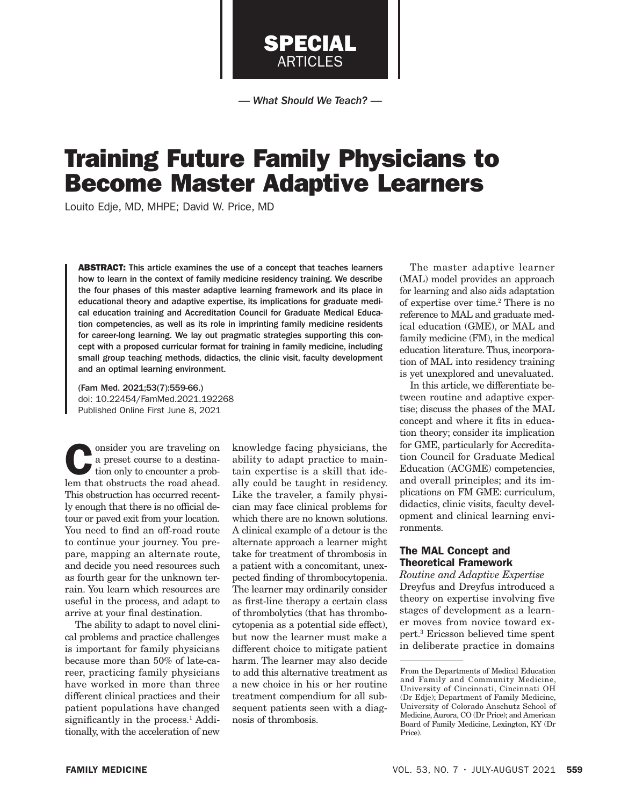*— What Should We Teach? —*

SPECIAL ARTICLES

# Training Future Family Physicians to Become Master Adaptive Learners

Louito Edje, MD, MHPE; David W. Price, MD

ABSTRACT: This article examines the use of a concept that teaches learners how to learn in the context of family medicine residency training. We describe the four phases of this master adaptive learning framework and its place in educational theory and adaptive expertise, its implications for graduate medical education training and Accreditation Council for Graduate Medical Education competencies, as well as its role in imprinting family medicine residents for career-long learning. We lay out pragmatic strategies supporting this concept with a proposed curricular format for training in family medicine, including small group teaching methods, didactics, the clinic visit, faculty development and an optimal learning environment.

(Fam Med. 2021;53(7):559-66.) doi: 10.22454/FamMed.2021.192268 Published Online First June 8, 2021

onsider you are traveling on a preset course to a destination only to encounter a problem that obstructs the road ahead. This obstruction has occurred recently enough that there is no official detour or paved exit from your location. You need to find an off-road route to continue your journey. You prepare, mapping an alternate route, and decide you need resources such as fourth gear for the unknown terrain. You learn which resources are useful in the process, and adapt to arrive at your final destination.

The ability to adapt to novel clinical problems and practice challenges is important for family physicians because more than 50% of late-career, practicing family physicians have worked in more than three different clinical practices and their patient populations have changed significantly in the process.<sup>1</sup> Additionally, with the acceleration of new

knowledge facing physicians, the ability to adapt practice to maintain expertise is a skill that ideally could be taught in residency. Like the traveler, a family physician may face clinical problems for which there are no known solutions. A clinical example of a detour is the alternate approach a learner might take for treatment of thrombosis in a patient with a concomitant, unexpected finding of thrombocytopenia. The learner may ordinarily consider as first-line therapy a certain class of thrombolytics (that has thrombocytopenia as a potential side effect), but now the learner must make a different choice to mitigate patient harm. The learner may also decide to add this alternative treatment as a new choice in his or her routine treatment compendium for all subsequent patients seen with a diagnosis of thrombosis.

The master adaptive learner (MAL) model provides an approach for learning and also aids adaptation of expertise over time.2 There is no reference to MAL and graduate medical education (GME), or MAL and family medicine (FM), in the medical education literature. Thus, incorporation of MAL into residency training is yet unexplored and unevaluated.

In this article, we differentiate between routine and adaptive expertise; discuss the phases of the MAL concept and where it fits in education theory; consider its implication for GME, particularly for Accreditation Council for Graduate Medical Education (ACGME) competencies, and overall principles; and its implications on FM GME: curriculum, didactics, clinic visits, faculty development and clinical learning environments.

# The MAL Concept and Theoretical Framework

*Routine and Adaptive Expertise* Dreyfus and Dreyfus introduced a theory on expertise involving five stages of development as a learner moves from novice toward expert.3 Ericsson believed time spent in deliberate practice in domains

From the Departments of Medical Education and Family and Community Medicine, University of Cincinnati, Cincinnati OH (Dr Edje); Department of Family Medicine, University of Colorado Anschutz School of Medicine, Aurora, CO (Dr Price); and American Board of Family Medicine, Lexington, KY (Dr Price).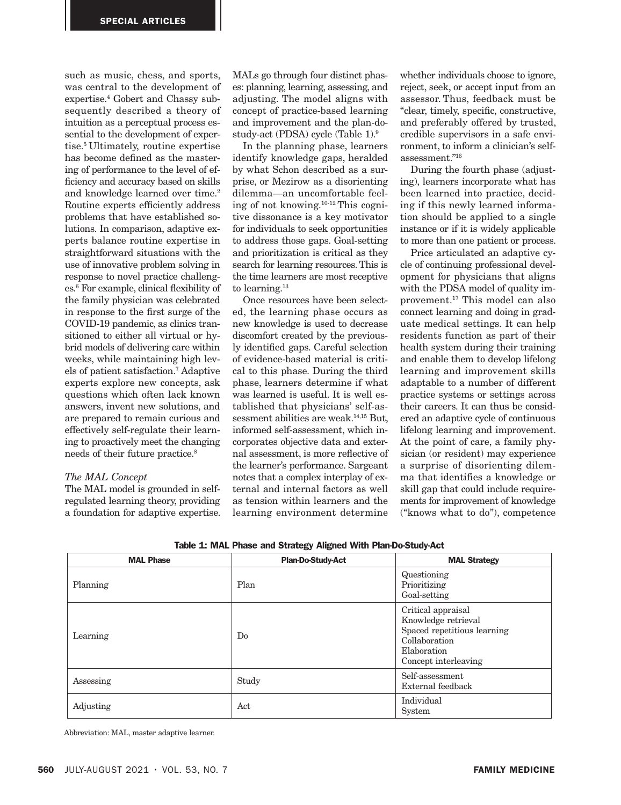such as music, chess, and sports, was central to the development of expertise.4 Gobert and Chassy subsequently described a theory of intuition as a perceptual process essential to the development of expertise.5 Ultimately, routine expertise has become defined as the mastering of performance to the level of efficiency and accuracy based on skills and knowledge learned over time.<sup>2</sup> Routine experts efficiently address problems that have established solutions. In comparison, adaptive experts balance routine expertise in straightforward situations with the use of innovative problem solving in response to novel practice challenges.6 For example, clinical flexibility of the family physician was celebrated in response to the first surge of the COVID-19 pandemic, as clinics transitioned to either all virtual or hybrid models of delivering care within weeks, while maintaining high levels of patient satisfaction.7 Adaptive experts explore new concepts, ask questions which often lack known answers, invent new solutions, and are prepared to remain curious and effectively self-regulate their learning to proactively meet the changing needs of their future practice.8

## *The MAL Concept*

The MAL model is grounded in selfregulated learning theory, providing a foundation for adaptive expertise.

MALs go through four distinct phases: planning, learning, assessing, and adjusting. The model aligns with concept of practice-based learning and improvement and the plan-dostudy-act (PDSA) cycle (Table 1).9

In the planning phase, learners identify knowledge gaps, heralded by what Schon described as a surprise, or Mezirow as a disorienting dilemma—an uncomfortable feeling of not knowing.10-12 This cognitive dissonance is a key motivator for individuals to seek opportunities to address those gaps. Goal-setting and prioritization is critical as they search for learning resources. This is the time learners are most receptive to learning.<sup>13</sup>

Once resources have been selected, the learning phase occurs as new knowledge is used to decrease discomfort created by the previously identified gaps. Careful selection of evidence-based material is critical to this phase. During the third phase, learners determine if what was learned is useful. It is well established that physicians' self-assessment abilities are weak.14,15 But, informed self-assessment, which incorporates objective data and external assessment, is more reflective of the learner's performance. Sargeant notes that a complex interplay of external and internal factors as well as tension within learners and the learning environment determine whether individuals choose to ignore, reject, seek, or accept input from an assessor. Thus, feedback must be "clear, timely, specific, constructive, and preferably offered by trusted, credible supervisors in a safe environment, to inform a clinician's selfassessment."16

During the fourth phase (adjusting), learners incorporate what has been learned into practice, deciding if this newly learned information should be applied to a single instance or if it is widely applicable to more than one patient or process.

Price articulated an adaptive cycle of continuing professional development for physicians that aligns with the PDSA model of quality improvement.17 This model can also connect learning and doing in graduate medical settings. It can help residents function as part of their health system during their training and enable them to develop lifelong learning and improvement skills adaptable to a number of different practice systems or settings across their careers. It can thus be considered an adaptive cycle of continuous lifelong learning and improvement. At the point of care, a family physician (or resident) may experience a surprise of disorienting dilemma that identifies a knowledge or skill gap that could include requirements for improvement of knowledge ("knows what to do"), competence

|  |  |  |  |  |  |  | Table 1: MAL Phase and Strategy Aligned With Plan-Do-Study-Act |
|--|--|--|--|--|--|--|----------------------------------------------------------------|
|--|--|--|--|--|--|--|----------------------------------------------------------------|

| <b>MAL Phase</b> | <b>Plan-Do-Study-Act</b> | <b>MAL Strategy</b>                                                                                                              |
|------------------|--------------------------|----------------------------------------------------------------------------------------------------------------------------------|
| Planning         | Plan                     | Questioning<br>Prioritizing<br>Goal-setting                                                                                      |
| Learning         | Do                       | Critical appraisal<br>Knowledge retrieval<br>Spaced repetitious learning<br>Collaboration<br>Elaboration<br>Concept interleaving |
| Assessing        | Study                    | Self-assessment<br>External feedback                                                                                             |
| Adjusting        | Act                      | Individual<br>System                                                                                                             |

Abbreviation: MAL, master adaptive learner.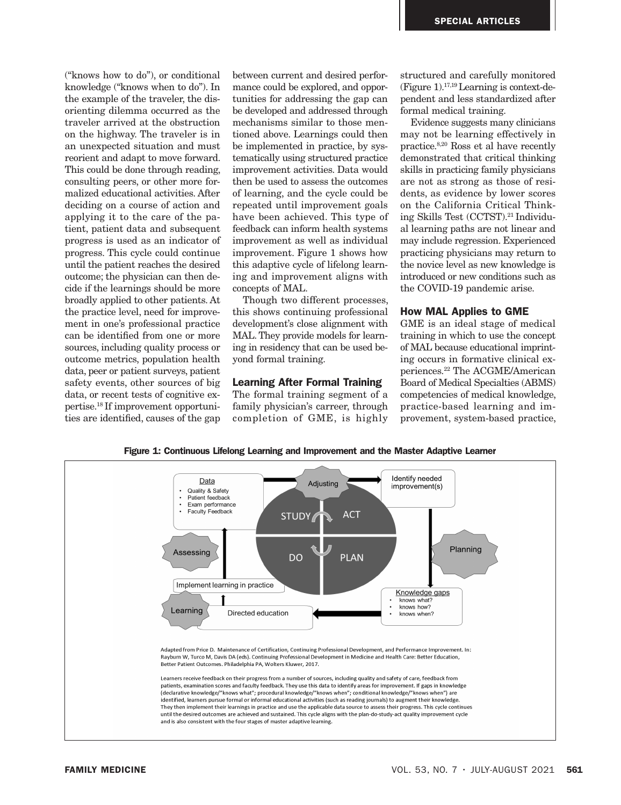("knows how to do"), or conditional knowledge ("knows when to do"). In the example of the traveler, the disorienting dilemma occurred as the traveler arrived at the obstruction on the highway. The traveler is in an unexpected situation and must reorient and adapt to move forward. This could be done through reading, consulting peers, or other more formalized educational activities. After deciding on a course of action and applying it to the care of the patient, patient data and subsequent progress is used as an indicator of progress. This cycle could continue until the patient reaches the desired outcome; the physician can then decide if the learnings should be more broadly applied to other patients. At the practice level, need for improvement in one's professional practice can be identified from one or more sources, including quality process or outcome metrics, population health data, peer or patient surveys, patient safety events, other sources of big data, or recent tests of cognitive expertise.18 If improvement opportunities are identified, causes of the gap

between current and desired performance could be explored, and opportunities for addressing the gap can be developed and addressed through mechanisms similar to those mentioned above. Learnings could then be implemented in practice, by systematically using structured practice improvement activities. Data would then be used to assess the outcomes of learning, and the cycle could be repeated until improvement goals have been achieved. This type of feedback can inform health systems improvement as well as individual improvement. Figure 1 shows how this adaptive cycle of lifelong learning and improvement aligns with concepts of MAL.

Though two different processes, this shows continuing professional development's close alignment with MAL. They provide models for learning in residency that can be used beyond formal training.

## Learning After Formal Training

The formal training segment of a family physician's carreer, through completion of GME, is highly structured and carefully monitored (Figure 1).17,19 Learning is context-dependent and less standardized after formal medical training.

Evidence suggests many clinicians may not be learning effectively in practice.8,20 Ross et al have recently demonstrated that critical thinking skills in practicing family physicians are not as strong as those of residents, as evidence by lower scores on the California Critical Thinking Skills Test (CCTST).21 Individual learning paths are not linear and may include regression. Experienced practicing physicians may return to the novice level as new knowledge is introduced or new conditions such as the COVID-19 pandemic arise.

## How MAL Applies to GME

GME is an ideal stage of medical training in which to use the concept of MAL because educational imprinting occurs in formative clinical experiences.22 The ACGME/American Board of Medical Specialties (ABMS) competencies of medical knowledge, practice-based learning and improvement, system-based practice,



Figure 1: Continuous Lifelong Learning and Improvement and the Master Adaptive Learner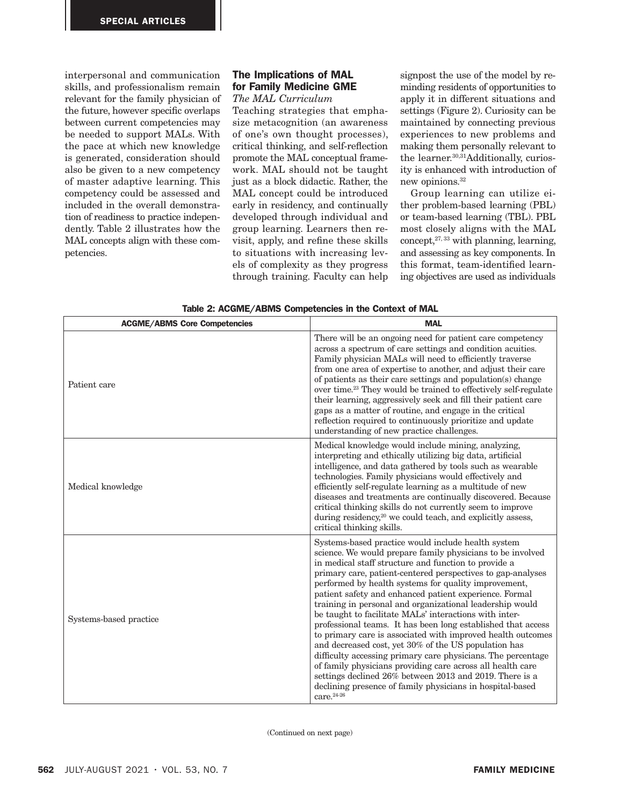interpersonal and communication skills, and professionalism remain relevant for the family physician of the future, however specific overlaps between current competencies may be needed to support MALs. With the pace at which new knowledge is generated, consideration should also be given to a new competency of master adaptive learning. This competency could be assessed and included in the overall demonstration of readiness to practice independently. Table 2 illustrates how the MAL concepts align with these competencies.

# The Implications of MAL for Family Medicine GME

# *The MAL Curriculum*

Teaching strategies that emphasize metacognition (an awareness of one's own thought processes), critical thinking, and self-reflection promote the MAL conceptual framework. MAL should not be taught just as a block didactic. Rather, the MAL concept could be introduced early in residency, and continually developed through individual and group learning. Learners then revisit, apply, and refine these skills to situations with increasing levels of complexity as they progress through training. Faculty can help

signpost the use of the model by reminding residents of opportunities to apply it in different situations and settings (Figure 2). Curiosity can be maintained by connecting previous experiences to new problems and making them personally relevant to the learner.30,31Additionally, curiosity is enhanced with introduction of new opinions.32

Group learning can utilize either problem-based learning (PBL) or team-based learning (TBL). PBL most closely aligns with the MAL  $concept<sub>1</sub><sup>27,33</sup>$  with planning, learning, and assessing as key components. In this format, team-identified learning objectives are used as individuals

| <b>ACGME/ABMS Core Competencies</b> | <b>MAL</b>                                                                                                                                                                                                                                                                                                                                                                                                                                                                                                                                                                                                                                                                                                                                                                                                                                                                                                                                    |  |  |  |
|-------------------------------------|-----------------------------------------------------------------------------------------------------------------------------------------------------------------------------------------------------------------------------------------------------------------------------------------------------------------------------------------------------------------------------------------------------------------------------------------------------------------------------------------------------------------------------------------------------------------------------------------------------------------------------------------------------------------------------------------------------------------------------------------------------------------------------------------------------------------------------------------------------------------------------------------------------------------------------------------------|--|--|--|
| Patient care                        | There will be an ongoing need for patient care competency<br>across a spectrum of care settings and condition acuities.<br>Family physician MALs will need to efficiently traverse<br>from one area of expertise to another, and adjust their care<br>of patients as their care settings and population(s) change<br>over time. <sup>23</sup> They would be trained to effectively self-regulate<br>their learning, aggressively seek and fill their patient care<br>gaps as a matter of routine, and engage in the critical<br>reflection required to continuously prioritize and update<br>understanding of new practice challenges.                                                                                                                                                                                                                                                                                                        |  |  |  |
| Medical knowledge                   | Medical knowledge would include mining, analyzing,<br>interpreting and ethically utilizing big data, artificial<br>intelligence, and data gathered by tools such as wearable<br>technologies. Family physicians would effectively and<br>efficiently self-regulate learning as a multitude of new<br>diseases and treatments are continually discovered. Because<br>critical thinking skills do not currently seem to improve<br>during residency, <sup>20</sup> we could teach, and explicitly assess,<br>critical thinking skills.                                                                                                                                                                                                                                                                                                                                                                                                          |  |  |  |
| Systems-based practice              | Systems-based practice would include health system<br>science. We would prepare family physicians to be involved<br>in medical staff structure and function to provide a<br>primary care, patient-centered perspectives to gap-analyses<br>performed by health systems for quality improvement,<br>patient safety and enhanced patient experience. Formal<br>training in personal and organizational leadership would<br>be taught to facilitate MALs' interactions with inter-<br>professional teams. It has been long established that access<br>to primary care is associated with improved health outcomes<br>and decreased cost, yet 30% of the US population has<br>difficulty accessing primary care physicians. The percentage<br>of family physicians providing care across all health care<br>settings declined 26% between 2013 and 2019. There is a<br>declining presence of family physicians in hospital-based<br>care. $24-26$ |  |  |  |

Table 2: ACGME/ABMS Competencies in the Context of MAL

(Continued on next page)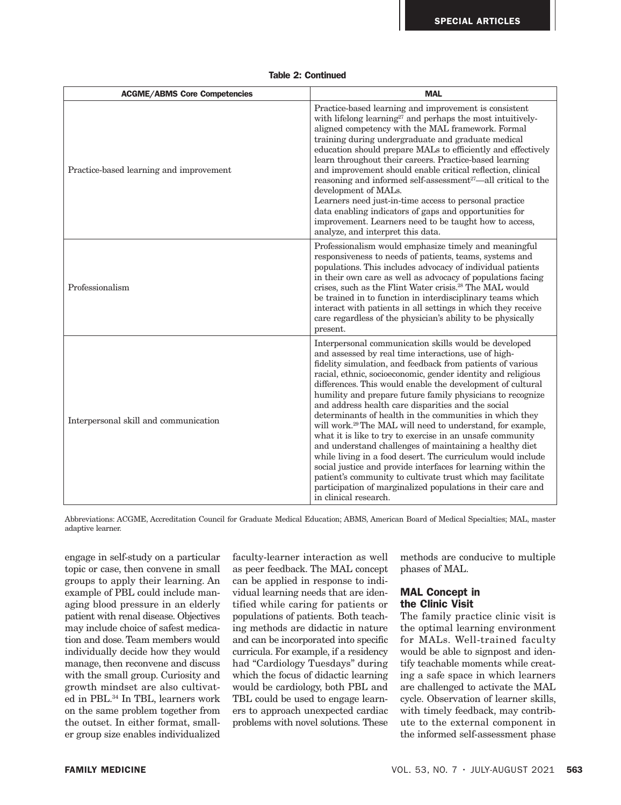## Table 2: Continued

| <b>ACGME/ABMS Core Competencies</b>     | <b>MAL</b>                                                                                                                                                                                                                                                                                                                                                                                                                                                                                                                                                                                                                                                                                                                                                                                                                                                                                                                                                                        |
|-----------------------------------------|-----------------------------------------------------------------------------------------------------------------------------------------------------------------------------------------------------------------------------------------------------------------------------------------------------------------------------------------------------------------------------------------------------------------------------------------------------------------------------------------------------------------------------------------------------------------------------------------------------------------------------------------------------------------------------------------------------------------------------------------------------------------------------------------------------------------------------------------------------------------------------------------------------------------------------------------------------------------------------------|
| Practice-based learning and improvement | Practice-based learning and improvement is consistent<br>with lifelong learning <sup>27</sup> and perhaps the most intuitively-<br>aligned competency with the MAL framework. Formal<br>training during undergraduate and graduate medical<br>education should prepare MALs to efficiently and effectively<br>learn throughout their careers. Practice-based learning<br>and improvement should enable critical reflection, clinical<br>reasoning and informed self-assessment <sup>27</sup> —all critical to the<br>development of MALs.<br>Learners need just-in-time access to personal practice<br>data enabling indicators of gaps and opportunities for<br>improvement. Learners need to be taught how to access,<br>analyze, and interpret this data.                                                                                                                                                                                                                      |
| Professionalism                         | Professionalism would emphasize timely and meaningful<br>responsiveness to needs of patients, teams, systems and<br>populations. This includes advocacy of individual patients<br>in their own care as well as advocacy of populations facing<br>crises, such as the Flint Water crisis. <sup>28</sup> The MAL would<br>be trained in to function in interdisciplinary teams which<br>interact with patients in all settings in which they receive<br>care regardless of the physician's ability to be physically<br>present.                                                                                                                                                                                                                                                                                                                                                                                                                                                     |
| Interpersonal skill and communication   | Interpersonal communication skills would be developed<br>and assessed by real time interactions, use of high-<br>fidelity simulation, and feedback from patients of various<br>racial, ethnic, socioeconomic, gender identity and religious<br>differences. This would enable the development of cultural<br>humility and prepare future family physicians to recognize<br>and address health care disparities and the social<br>determinants of health in the communities in which they<br>will work. <sup>29</sup> The MAL will need to understand, for example,<br>what it is like to try to exercise in an unsafe community<br>and understand challenges of maintaining a healthy diet<br>while living in a food desert. The curriculum would include<br>social justice and provide interfaces for learning within the<br>patient's community to cultivate trust which may facilitate<br>participation of marginalized populations in their care and<br>in clinical research. |

Abbreviations: ACGME, Accreditation Council for Graduate Medical Education; ABMS, American Board of Medical Specialties; MAL, master adaptive learner.

engage in self-study on a particular topic or case, then convene in small groups to apply their learning. An example of PBL could include managing blood pressure in an elderly patient with renal disease. Objectives may include choice of safest medication and dose. Team members would individually decide how they would manage, then reconvene and discuss with the small group. Curiosity and growth mindset are also cultivated in PBL.<sup>34</sup> In TBL, learners work on the same problem together from the outset. In either format, smaller group size enables individualized

faculty-learner interaction as well as peer feedback. The MAL concept can be applied in response to individual learning needs that are identified while caring for patients or populations of patients. Both teaching methods are didactic in nature and can be incorporated into specific curricula. For example, if a residency had "Cardiology Tuesdays" during which the focus of didactic learning would be cardiology, both PBL and TBL could be used to engage learners to approach unexpected cardiac problems with novel solutions. These methods are conducive to multiple phases of MAL.

## MAL Concept in the Clinic Visit

The family practice clinic visit is the optimal learning environment for MALs. Well-trained faculty would be able to signpost and identify teachable moments while creating a safe space in which learners are challenged to activate the MAL cycle. Observation of learner skills, with timely feedback, may contribute to the external component in the informed self-assessment phase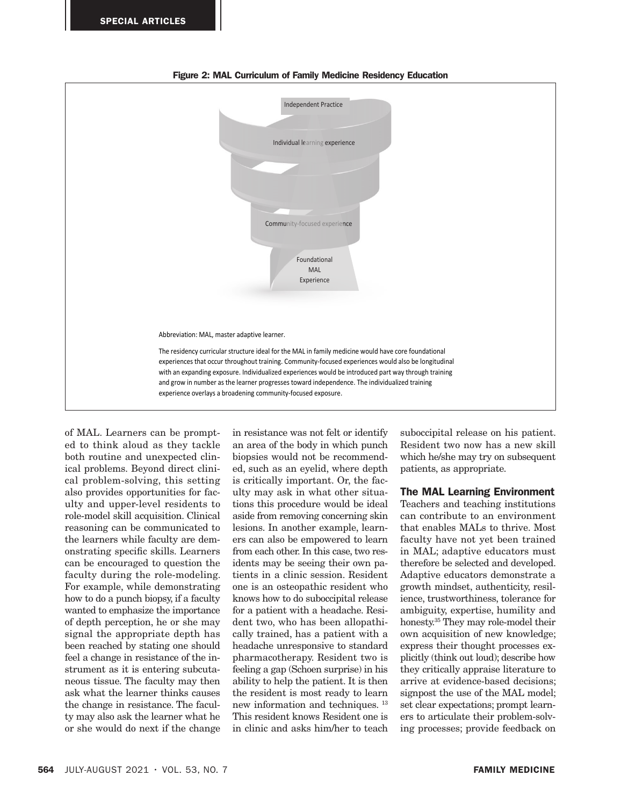

Figure 2: MAL Curriculum of Family Medicine Residency Education

of MAL. Learners can be prompted to think aloud as they tackle both routine and unexpected clinical problems. Beyond direct clinical problem-solving, this setting also provides opportunities for faculty and upper-level residents to role-model skill acquisition. Clinical reasoning can be communicated to the learners while faculty are demonstrating specific skills. Learners can be encouraged to question the faculty during the role-modeling. For example, while demonstrating how to do a punch biopsy, if a faculty wanted to emphasize the importance of depth perception, he or she may signal the appropriate depth has been reached by stating one should feel a change in resistance of the instrument as it is entering subcutaneous tissue. The faculty may then ask what the learner thinks causes the change in resistance. The faculty may also ask the learner what he or she would do next if the change

in resistance was not felt or identify an area of the body in which punch biopsies would not be recommended, such as an eyelid, where depth is critically important. Or, the faculty may ask in what other situations this procedure would be ideal aside from removing concerning skin lesions. In another example, learners can also be empowered to learn from each other. In this case, two residents may be seeing their own patients in a clinic session. Resident one is an osteopathic resident who knows how to do suboccipital release for a patient with a headache. Resident two, who has been allopathically trained, has a patient with a headache unresponsive to standard pharmacotherapy. Resident two is feeling a gap (Schoen surprise) in his ability to help the patient. It is then the resident is most ready to learn new information and techniques. 13 This resident knows Resident one is in clinic and asks him/her to teach

suboccipital release on his patient. Resident two now has a new skill which he/she may try on subsequent patients, as appropriate.

## The MAL Learning Environment

Teachers and teaching institutions can contribute to an environment that enables MALs to thrive. Most faculty have not yet been trained in MAL; adaptive educators must therefore be selected and developed. Adaptive educators demonstrate a growth mindset, authenticity, resilience, trustworthiness, tolerance for ambiguity, expertise, humility and honesty.35 They may role-model their own acquisition of new knowledge; express their thought processes explicitly (think out loud); describe how they critically appraise literature to arrive at evidence-based decisions; signpost the use of the MAL model; set clear expectations; prompt learners to articulate their problem-solving processes; provide feedback on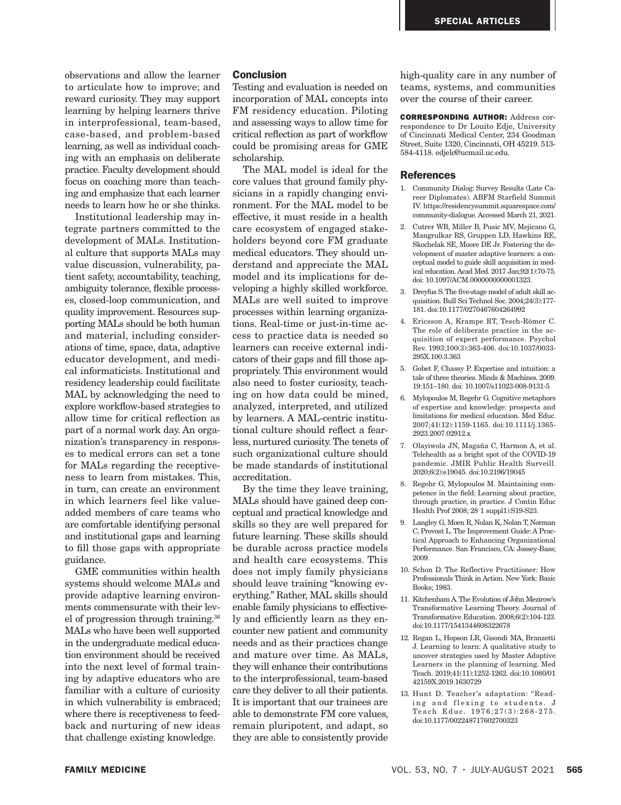observations and allow the learner to articulate how to improve; and reward curiosity. They may support learning by helping learners thrive in interprofessional, team-based, case-based, and problem-based learning, as well as individual coaching with an emphasis on deliberate practice. Faculty development should focus on coaching more than teaching and emphasize that each learner needs to learn how he or she thinks.

Institutional leadership may integrate partners committed to the development of MALs. Institutional culture that supports MALs may value discussion, vulnerability, patient safety, accountability, teaching, ambiguity tolerance, flexible processes, closed-loop communication, and quality improvement. Resources supporting MALs should be both human and material, including considerations of time, space, data, adaptive educator development, and medical informaticists. Institutional and residency leadership could facilitate MAL by acknowledging the need to explore workflow-based strategies to allow time for critical reflection as part of a normal work day. An organization's transparency in responses to medical errors can set a tone for MALs regarding the receptiveness to learn from mistakes. This, in turn, can create an environment in which learners feel like valueadded members of care teams who are comfortable identifying personal and institutional gaps and learning to fill those gaps with appropriate guidance.

GME communities within health systems should welcome MALs and provide adaptive learning environments commensurate with their level of progression through training.36 MALs who have been well supported in the undergraduate medical education environment should be received into the next level of formal training by adaptive educators who are familiar with a culture of curiosity in which vulnerability is embraced; where there is receptiveness to feedback and nurturing of new ideas that challenge existing knowledge.

## **Conclusion**

Testing and evaluation is needed on incorporation of MAL concepts into FM residency education. Piloting and assessing ways to allow time for critical reflection as part of workflow could be promising areas for GME scholarship.

The MAL model is ideal for the core values that ground family physicians in a rapidly changing environment. For the MAL model to be effective, it must reside in a health care ecosystem of engaged stakeholders beyond core FM graduate medical educators. They should understand and appreciate the MAL model and its implications for developing a highly skilled workforce. MALs are well suited to improve processes within learning organizations. Real-time or just-in-time access to practice data is needed so learners can receive external indicators of their gaps and fill those appropriately. This environment would also need to foster curiosity, teaching on how data could be mined, analyzed, interpreted, and utilized by learners. A MAL-centric institutional culture should reflect a fearless, nurtured curiosity. The tenets of such organizational culture should be made standards of institutional accreditation.

By the time they leave training, MALs should have gained deep conceptual and practical knowledge and skills so they are well prepared for future learning. These skills should be durable across practice models and health care ecosystems. This does not imply family physicians should leave training "knowing everything." Rather, MAL skills should enable family physicians to effectively and efficiently learn as they encounter new patient and community needs and as their practices change and mature over time. As MALs, they will enhance their contributions to the interprofessional, team-based care they deliver to all their patients. It is important that our trainees are able to demonstrate FM core values, remain pluripotent, and adapt, so they are able to consistently provide

high-quality care in any number of teams, systems, and communities over the course of their career.

CORRESPONDING AUTHOR: Address correspondence to Dr Louito Edje, University of Cincinnati Medical Center, 234 Goodman Street, Suite 1320, Cincinnati, OH 45219. 513- 584-4118. edjelc@ucmail.uc.edu.

#### **References**

- 1. Community Dialog: Survey Results (Late Career Diplomates). ABFM Starfield Summit IV. https://residencysummit.squarespace.com/ community-dialogue. Accessed March 21, 2021.
- 2. Cutrer WB, Miller B, Pusic MV, Mejicano G, Mangrulkar RS, Gruppen LD, Hawkins RE, Skochelak SE, Moore DE Jr. Fostering the development of master adaptive learners: a conceptual model to guide skill acquisition in medical education. Acad Med. 2017 Jan;92(1):70-75. doi: 10.1097/ACM.0000000000001323.
- 3. Dreyfus S. The five-stage model of adult skill acquisition. Bull Sci Technol Soc. 2004;24(3):177- 181. doi:10.1177/0270467604264992
- 4. Ericsson A, Krampe RT, Tesch-Römer C. The role of deliberate practice in the acquisition of expert performance. Psychol Rev. 1993;100(3):363-406. doi:10.1037/0033- 295X.100.3.363
- 5. Gobet F, Chassy P. Expertise and intuition: a tale of three theories. Minds & Machines. 2009. 19:151–180. doi: 10.1007/s11023-008-9131-5
- 6. Mylopoulos M, Regehr G. Cognitive metaphors of expertise and knowledge: prospects and limitations for medical education. Med Educ. 2007;41(12):1159-1165. doi:10.1111/j.1365- 2923.2007.02912.x
- 7. Olayiwola JN, Magaña C, Harmon A, et al. Telehealth as a bright spot of the COVID-19 pandemic. JMIR Public Health Surveill. 2020;6(2):e19045. doi:10.2196/19045
- 8. Regehr G, Mylopoulos M. Maintaining competence in the field: Learning about practice, through practice, in practice. J Contin Educ Health Prof 2008; 28 1 suppl1):S19-S23.
- 9. Langley G, Moen R, Nolan K, Nolan T, Norman C, Provost L. The Improvement Guide: A Practical Approach to Enhancing Organizational Performance. San Francisco, CA: Jossey-Bass; 2009.
- 10. Schon D. The Reflective Practitioner: How Professionals Think in Action. New York: Basic Books; 1983.
- 11. Kitchenham A. The Evolution of John Mezirow's Transformative Learning Theory. Journal of Transformative Education. 2008;6(2):104-123. doi:10.1177/1541344608322678
- 12. Regan L, Hopson LR, Gisondi MA, Branzetti J. Learning to learn: A qualitative study to uncover strategies used by Master Adaptive Learners in the planning of learning. Med Teach. 2019;41(11):1252-1262. doi:10.1080/01 42159X.2019.1630729
- 13. Hunt D. Teacher's adaptation: "Reading and flexing to students. J Teach Educ. 1976;27(3):268-275. doi:10.1177/002248717602700323